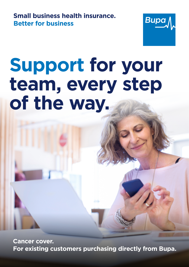**Small business health insurance. Better for business** 



## **Support for your team, every step of the way.**

**Cancer cover. For existing customers purchasing directly from Bupa.**